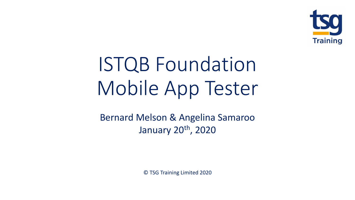

# ISTQB Foundation Mobile App Tester

Bernard Melson & Angelina Samaroo January 20<sup>th</sup>, 2020

© TSG Training Limited 2020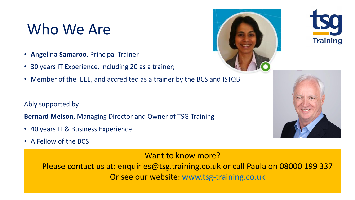## Who We Are

- **Angelina Samaroo**, Principal Trainer
- 30 years IT Experience, including 20 as a trainer;
- Member of the IEEE, and accredited as a trainer by the BCS and ISTQB

Ably supported by

**Bernard Melson**, Managing Director and Owner of TSG Training

- 40 years IT & Business Experience
- A Fellow of the BCS

Want to know more?

Please contact us at: enquiries@tsg.training.co.uk or call Paula on 08000 199 337 Or see our website: [www.tsg-training.co.uk](http://www.tsg-training.co.uk/)





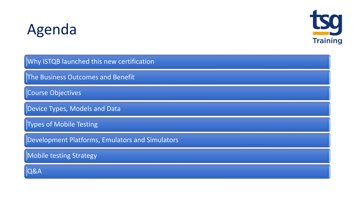# Agenda



Why ISTQB launched this new certification

The Business Outcomes and Benefit

Course Objectives

Device Types, Models and Data

Types of Mobile Testing

Development Platforms, Emulators and Simulators

Mobile testing Strategy

Q&A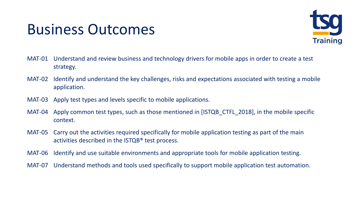## Business Outcomes



- MAT-01 Understand and review business and technology drivers for mobile apps in order to create a test strategy.
- MAT-02 Identify and understand the key challenges, risks and expectations associated with testing a mobile application.
- MAT-03 Apply test types and levels specific to mobile applications.
- MAT-04 Apply common test types, such as those mentioned in [ISTQB\_CTFL\_2018], in the mobile specific context.
- MAT-05 Carry out the activities required specifically for mobile application testing as part of the main activities described in the ISTQB® test process.
- MAT-06 Identify and use suitable environments and appropriate tools for mobile application testing.
- MAT-07 Understand methods and tools used specifically to support mobile application test automation.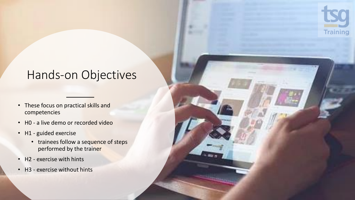

### Hands-on Objectives

- These focus on practical skills and competencies
- H0 a live demo or recorded video
- H1 guided exercise
	- trainees follow a sequence of steps performed by the trainer
- H2 exercise with hints
- H3 exercise without hints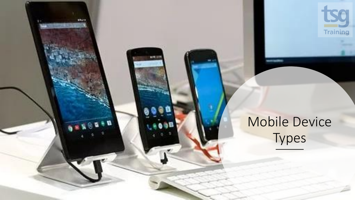

## Mobile Device Types

store

 $\bullet$  th

**SPECIAL**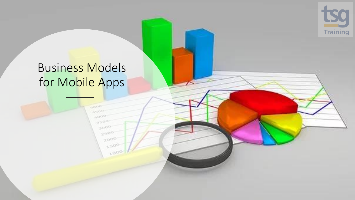

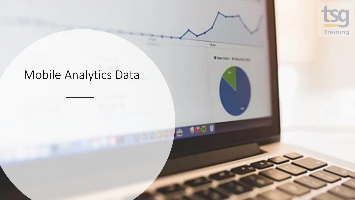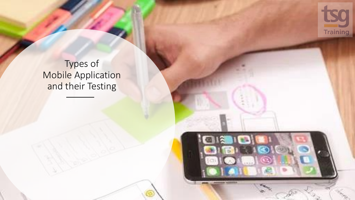

#### Types of Mobile Application and their Testing

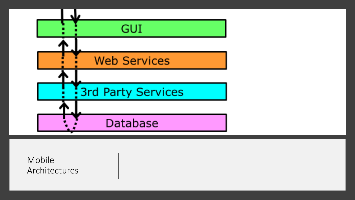

Mobile Architectures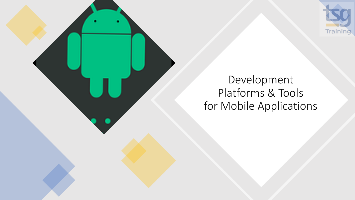

## Development Platforms & Tools for Mobile Applications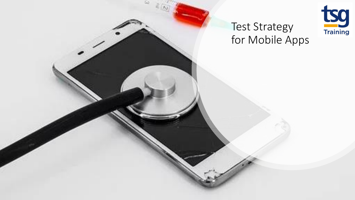

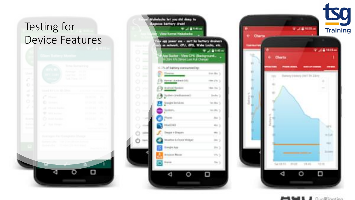## Testing for Device Features

| c<br>۹<br>o<br>m                | Last Swift (1991)<br>Took Trans. On 12.                                      |                                                                                                                                                                                                                                                                                                                                                                      |
|---------------------------------|------------------------------------------------------------------------------|----------------------------------------------------------------------------------------------------------------------------------------------------------------------------------------------------------------------------------------------------------------------------------------------------------------------------------------------------------------------|
| $\mathcal{A}^{(1)}$             | USAL 415 H. H. Short S. H. Hart H. Hart Line                                 |                                                                                                                                                                                                                                                                                                                                                                      |
| ۰<br>×                          | c<br>Mounter.                                                                | <b>TOR REAGAN</b><br>$\mathcal{H}^{\mathrm{R}}$                                                                                                                                                                                                                                                                                                                      |
| O 1                             | o<br><b>Straight</b>                                                         | an bene.<br>$\mathbb{CP}$ . ))                                                                                                                                                                                                                                                                                                                                       |
| 23                              | Mazon Radio<br>ak.                                                           | the tender                                                                                                                                                                                                                                                                                                                                                           |
|                                 | SAN Account<br>÷                                                             | are the aut<br>198.0                                                                                                                                                                                                                                                                                                                                                 |
| <b>Rooms</b>                    | Ò<br><b>TANAL Room</b>                                                       | <b>Read Control</b><br>$\begin{picture}(20,20) \put(0,0){\line(1,0){0.5}} \put(15,0){\line(1,0){0.5}} \put(15,0){\line(1,0){0.5}} \put(15,0){\line(1,0){0.5}} \put(15,0){\line(1,0){0.5}} \put(15,0){\line(1,0){0.5}} \put(15,0){\line(1,0){0.5}} \put(15,0){\line(1,0){0.5}} \put(15,0){\line(1,0){0.5}} \put(15,0){\line(1,0){0.5}} \put(15,0){\line(1,0){0.5}} \$ |
| <b>Burney</b><br><b>Science</b> | F<br>Act Cheese                                                              | (0,0)                                                                                                                                                                                                                                                                                                                                                                |
|                                 | Avenuen: Per Correlate Chinoe                                                |                                                                                                                                                                                                                                                                                                                                                                      |
|                                 | Bahara (Pac), 1936 (Ten (Bohm Austral)<br>Screenfiel, 197, 40 0 20 Min Fried | <b>Report Follows</b>                                                                                                                                                                                                                                                                                                                                                |
|                                 |                                                                              |                                                                                                                                                                                                                                                                                                                                                                      |
|                                 | m                                                                            | A                                                                                                                                                                                                                                                                                                                                                                    |





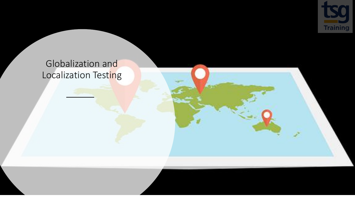

#### Globalization and Localization Testing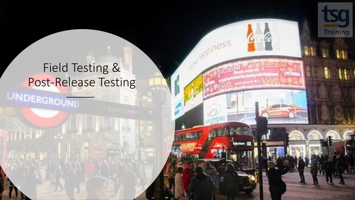# Field Testing & Post-Release Testing

**Training** 

B

 $n e<sup>5</sup>$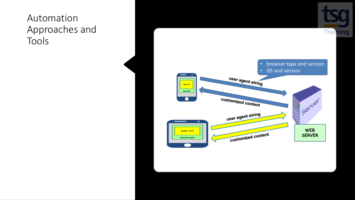#### Automation Approaches and Tools

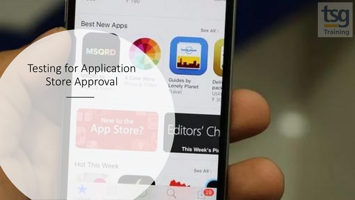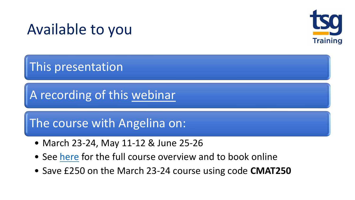## Available to you



This presentation

A recording of this [webinar](https://bit.ly/2ugmMwT)

The course with Angelina on:

- March 23-24, May 11-12 & June 25-26
- See [here](https://www.tsg-training.co.uk/course/isqi-certified-mobile-application-tester-cmap/) for the full course overview and to book online
- Save £250 on the March 23-24 course using code **CMAT250**